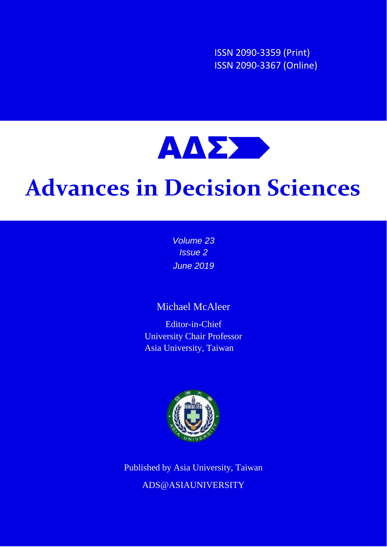ISSN 2090-3359 (Print) ISSN 2090-3367 (Online)



# **Advances in Decision Sciences**

*Volume 23 Issue 2 June 2019*

# Michael McAleer

Editor-in-Chief University Chair Professor Asia University, Taiwan



Published by Asia University, Taiwan ADS@ASIAUNIVERSITY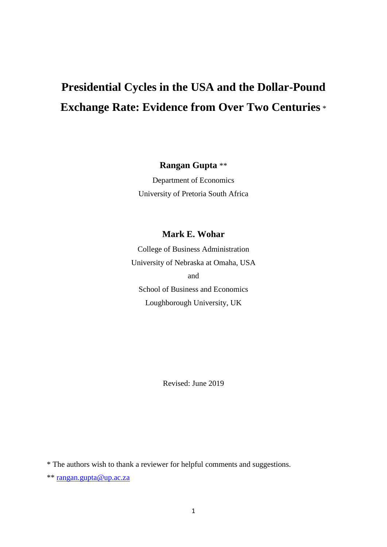# **Presidential Cycles in the USA and the Dollar-Pound Exchange Rate: Evidence from Over Two Centuries** \*

**Rangan Gupta** \*\*

Department of Economics University of Pretoria South Africa

#### **Mark E. Wohar**

College of Business Administration University of Nebraska at Omaha, USA and School of Business and Economics Loughborough University, UK

Revised: June 2019

\* The authors wish to thank a reviewer for helpful comments and suggestions.

\*\* [rangan.gupta@up.ac.za](file:///C:/Users/User/Desktop/Projects/QVAR/rangan.gupta@up.ac.za)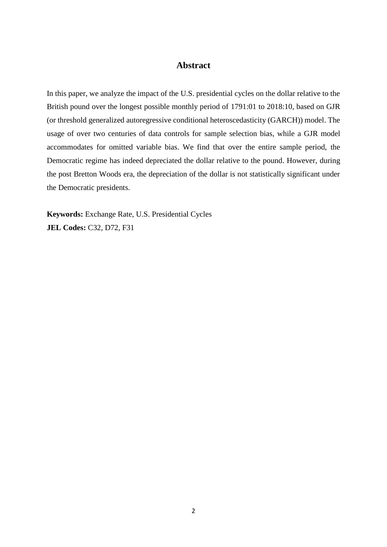#### **Abstract**

In this paper, we analyze the impact of the U.S. presidential cycles on the dollar relative to the British pound over the longest possible monthly period of 1791:01 to 2018:10, based on GJR (or threshold generalized autoregressive conditional heteroscedasticity (GARCH)) model. The usage of over two centuries of data controls for sample selection bias, while a GJR model accommodates for omitted variable bias. We find that over the entire sample period, the Democratic regime has indeed depreciated the dollar relative to the pound. However, during the post Bretton Woods era, the depreciation of the dollar is not statistically significant under the Democratic presidents.

**Keywords:** Exchange Rate, U.S. Presidential Cycles **JEL Codes:** C32, D72, F31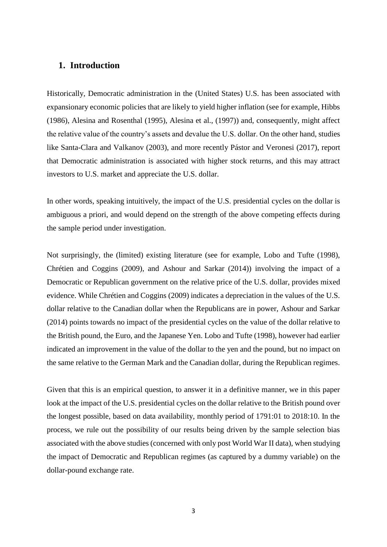#### **1. Introduction**

Historically, Democratic administration in the (United States) U.S. has been associated with expansionary economic policies that are likely to yield higher inflation (see for example, Hibbs (1986), Alesina and Rosenthal (1995), Alesina et al., (1997)) and, consequently, might affect the relative value of the country's assets and devalue the U.S. dollar. On the other hand, studies like Santa-Clara and Valkanov (2003), and more recently Pástor and Veronesi (2017), report that Democratic administration is associated with higher stock returns, and this may attract investors to U.S. market and appreciate the U.S. dollar.

In other words, speaking intuitively, the impact of the U.S. presidential cycles on the dollar is ambiguous a priori, and would depend on the strength of the above competing effects during the sample period under investigation.

Not surprisingly, the (limited) existing literature (see for example, Lobo and Tufte (1998), Chrétien and Coggins (2009), and Ashour and Sarkar (2014)) involving the impact of a Democratic or Republican government on the relative price of the U.S. dollar, provides mixed evidence. While Chrétien and Coggins (2009) indicates a depreciation in the values of the U.S. dollar relative to the Canadian dollar when the Republicans are in power, Ashour and Sarkar (2014) points towards no impact of the presidential cycles on the value of the dollar relative to the British pound, the Euro, and the Japanese Yen. Lobo and Tufte (1998), however had earlier indicated an improvement in the value of the dollar to the yen and the pound, but no impact on the same relative to the German Mark and the Canadian dollar, during the Republican regimes.

Given that this is an empirical question, to answer it in a definitive manner, we in this paper look at the impact of the U.S. presidential cycles on the dollar relative to the British pound over the longest possible, based on data availability, monthly period of 1791:01 to 2018:10. In the process, we rule out the possibility of our results being driven by the sample selection bias associated with the above studies (concerned with only post World War II data), when studying the impact of Democratic and Republican regimes (as captured by a dummy variable) on the dollar-pound exchange rate.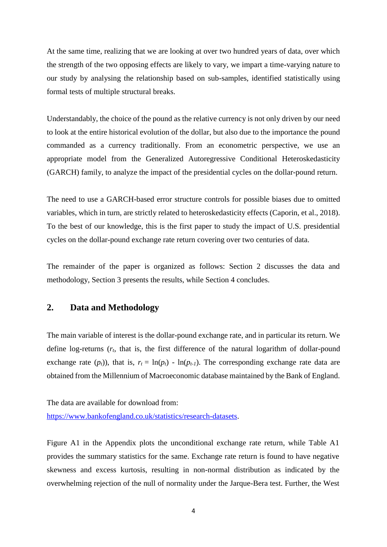At the same time, realizing that we are looking at over two hundred years of data, over which the strength of the two opposing effects are likely to vary, we impart a time-varying nature to our study by analysing the relationship based on sub-samples, identified statistically using formal tests of multiple structural breaks.

Understandably, the choice of the pound as the relative currency is not only driven by our need to look at the entire historical evolution of the dollar, but also due to the importance the pound commanded as a currency traditionally. From an econometric perspective, we use an appropriate model from the Generalized Autoregressive Conditional Heteroskedasticity (GARCH) family, to analyze the impact of the presidential cycles on the dollar-pound return.

The need to use a GARCH-based error structure controls for possible biases due to omitted variables, which in turn, are strictly related to heteroskedasticity effects (Caporin, et al., 2018). To the best of our knowledge, this is the first paper to study the impact of U.S. presidential cycles on the dollar-pound exchange rate return covering over two centuries of data.

The remainder of the paper is organized as follows: Section 2 discusses the data and methodology, Section 3 presents the results, while Section 4 concludes.

#### **2. Data and Methodology**

The main variable of interest is the dollar-pound exchange rate, and in particular its return. We define log-returns (*rt*, that is, the first difference of the natural logarithm of dollar-pound exchange rate  $(p_t)$ ), that is,  $r_t = \ln(p_t) - \ln(p_{t-1})$ . The corresponding exchange rate data are obtained from the Millennium of Macroeconomic database maintained by the Bank of England.

The data are available for download from:

[https://www.bankofengland.co.uk/statistics/research-datasets.](https://www.bankofengland.co.uk/statistics/research-datasets)

Figure A1 in the Appendix plots the unconditional exchange rate return, while Table A1 provides the summary statistics for the same. Exchange rate return is found to have negative skewness and excess kurtosis, resulting in non-normal distribution as indicated by the overwhelming rejection of the null of normality under the Jarque-Bera test. Further, the West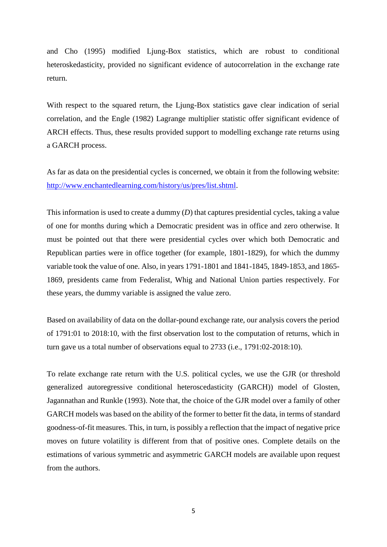and Cho (1995) modified Ljung-Box statistics, which are robust to conditional heteroskedasticity, provided no significant evidence of autocorrelation in the exchange rate return.

With respect to the squared return, the Ljung-Box statistics gave clear indication of serial correlation, and the Engle (1982) Lagrange multiplier statistic offer significant evidence of ARCH effects. Thus, these results provided support to modelling exchange rate returns using a GARCH process.

As far as data on the presidential cycles is concerned, we obtain it from the following website: [http://www.enchantedlearning.com/history/us/pres/list.shtml.](http://www.enchantedlearning.com/history/us/pres/list.shtml)

This information is used to create a dummy (*D*) that captures presidential cycles, taking a value of one for months during which a Democratic president was in office and zero otherwise. It must be pointed out that there were presidential cycles over which both Democratic and Republican parties were in office together (for example, 1801-1829), for which the dummy variable took the value of one. Also, in years 1791-1801 and 1841-1845, 1849-1853, and 1865- 1869, presidents came from Federalist, Whig and National Union parties respectively. For these years, the dummy variable is assigned the value zero.

Based on availability of data on the dollar-pound exchange rate, our analysis covers the period of 1791:01 to 2018:10, with the first observation lost to the computation of returns, which in turn gave us a total number of observations equal to 2733 (i.e., 1791:02-2018:10).

To relate exchange rate return with the U.S. political cycles, we use the GJR (or threshold generalized autoregressive conditional heteroscedasticity (GARCH)) model of Glosten, Jagannathan and Runkle (1993). Note that, the choice of the GJR model over a family of other GARCH models was based on the ability of the former to better fit the data, in terms of standard goodness-of-fit measures. This, in turn, is possibly a reflection that the impact of negative price moves on future volatility is different from that of positive ones. Complete details on the estimations of various symmetric and asymmetric GARCH models are available upon request from the authors.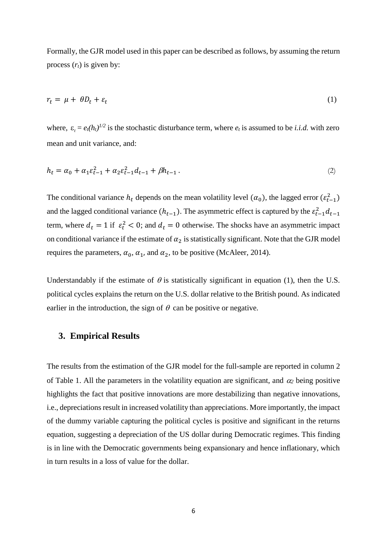Formally, the GJR model used in this paper can be described as follows, by assuming the return process  $(r_t)$  is given by:

$$
r_t = \mu + \theta D_t + \varepsilon_t \tag{1}
$$

where,  $\varepsilon_t = e_t(h_t)^{1/2}$  is the stochastic disturbance term, where  $e_t$  is assumed to be *i.i.d.* with zero mean and unit variance, and:

$$
h_t = \alpha_0 + \alpha_1 \varepsilon_{t-1}^2 + \alpha_2 \varepsilon_{t-1}^2 d_{t-1} + \beta h_{t-1} \,. \tag{2}
$$

The conditional variance  $h_t$  depends on the mean volatility level  $(\alpha_0)$ , the lagged error  $(\varepsilon_{t-1}^2)$ and the lagged conditional variance  $(h_{t-1})$ . The asymmetric effect is captured by the  $\varepsilon_{t-1}^2 d_{t-1}$ term, where  $d_t = 1$  if  $\varepsilon_t^2 < 0$ ; and  $d_t = 0$  otherwise. The shocks have an asymmetric impact on conditional variance if the estimate of  $\alpha_2$  is statistically significant. Note that the GJR model requires the parameters,  $\alpha_0$ ,  $\alpha_1$ , and  $\alpha_2$ , to be positive (McAleer, 2014).

Understandably if the estimate of  $\theta$  is statistically significant in equation (1), then the U.S. political cycles explains the return on the U.S. dollar relative to the British pound. As indicated earlier in the introduction, the sign of  $\theta$  can be positive or negative.

#### **3. Empirical Results**

The results from the estimation of the GJR model for the full-sample are reported in column 2 of Table 1. All the parameters in the volatility equation are significant, and  $\alpha_2$  being positive highlights the fact that positive innovations are more destabilizing than negative innovations, i.e., depreciations result in increased volatility than appreciations. More importantly, the impact of the dummy variable capturing the political cycles is positive and significant in the returns equation, suggesting a depreciation of the US dollar during Democratic regimes. This finding is in line with the Democratic governments being expansionary and hence inflationary, which in turn results in a loss of value for the dollar.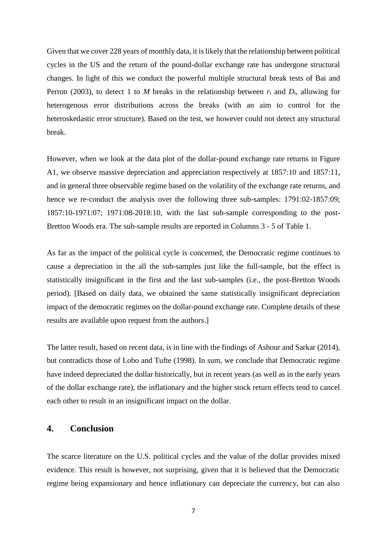Given that we cover 228 years of monthly data, it is likely that the relationship between political cycles in the US and the return of the pound-dollar exchange rate has undergone structural changes. In light of this we conduct the powerful multiple structural break tests of Bai and Perron (2003), to detect 1 to *M* breaks in the relationship between  $r_t$  and  $D_t$ , allowing for heterogenous error distributions across the breaks (with an aim to control for the heteroskedastic error structure). Based on the test, we however could not detect any structural break.

However, when we look at the data plot of the dollar-pound exchange rate returns in Figure A1, we observe massive depreciation and appreciation respectively at 1857:10 and 1857:11, and in general three observable regime based on the volatility of the exchange rate returns, and hence we re-conduct the analysis over the following three sub-samples: 1791:02-1857:09; 1857:10-1971:07; 1971:08-2018:10, with the last sub-sample corresponding to the post-Bretton Woods era. The sub-sample results are reported in Columns 3 - 5 of Table 1.

As far as the impact of the political cycle is concerned, the Democratic regime continues to cause a depreciation in the all the sub-samples just like the full-sample, but the effect is statistically insignificant in the first and the last sub-samples (i.e., the post-Bretton Woods period). [Based on daily data, we obtained the same statistically insignificant depreciation impact of the democratic regimes on the dollar-pound exchange rate. Complete details of these results are available upon request from the authors.]

The latter result, based on recent data, is in line with the findings of Ashour and Sarkar (2014), but contradicts those of Lobo and Tufte (1998). In sum, we conclude that Democratic regime have indeed depreciated the dollar historically, but in recent years (as well as in the early years of the dollar exchange rate), the inflationary and the higher stock return effects tend to cancel each other to result in an insignificant impact on the dollar.

#### **4. Conclusion**

The scarce literature on the U.S. political cycles and the value of the dollar provides mixed evidence. This result is however, not surprising, given that it is believed that the Democratic regime being expansionary and hence inflationary can depreciate the currency, but can also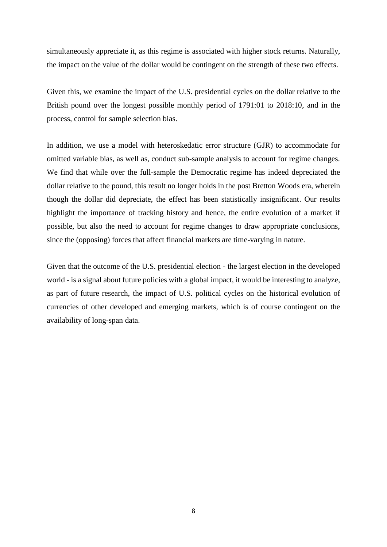simultaneously appreciate it, as this regime is associated with higher stock returns. Naturally, the impact on the value of the dollar would be contingent on the strength of these two effects.

Given this, we examine the impact of the U.S. presidential cycles on the dollar relative to the British pound over the longest possible monthly period of 1791:01 to 2018:10, and in the process, control for sample selection bias.

In addition, we use a model with heteroskedatic error structure (GJR) to accommodate for omitted variable bias, as well as, conduct sub-sample analysis to account for regime changes. We find that while over the full-sample the Democratic regime has indeed depreciated the dollar relative to the pound, this result no longer holds in the post Bretton Woods era, wherein though the dollar did depreciate, the effect has been statistically insignificant. Our results highlight the importance of tracking history and hence, the entire evolution of a market if possible, but also the need to account for regime changes to draw appropriate conclusions, since the (opposing) forces that affect financial markets are time-varying in nature.

Given that the outcome of the U.S. presidential election - the largest election in the developed world - is a signal about future policies with a global impact, it would be interesting to analyze, as part of future research, the impact of U.S. political cycles on the historical evolution of currencies of other developed and emerging markets, which is of course contingent on the availability of long-span data.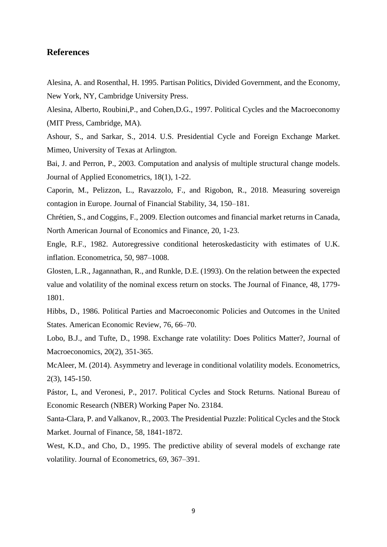#### **References**

Alesina, A. and Rosenthal, H. 1995. Partisan Politics, Divided Government, and the Economy, New York, NY, Cambridge University Press.

Alesina, Alberto, Roubini,P., and Cohen,D.G., 1997. Political Cycles and the Macroeconomy (MIT Press, Cambridge, MA).

Ashour, S., and Sarkar, S., 2014. U.S. Presidential Cycle and Foreign Exchange Market. Mimeo, University of Texas at Arlington.

Bai, J. and Perron, P., 2003. Computation and analysis of multiple structural change models. Journal of Applied Econometrics, 18(1), 1-22.

Caporin, M., Pelizzon, L., Ravazzolo, F., and Rigobon, R., 2018. Measuring sovereign contagion in Europe. Journal of Financial Stability, 34, 150–181.

Chrétien, S., and Coggins, F., 2009. Election outcomes and financial market returns in Canada, North American Journal of Economics and Finance, 20, 1-23.

Engle, R.F., 1982. Autoregressive conditional heteroskedasticity with estimates of U.K. inflation. Econometrica, 50, 987–1008.

Glosten, L.R., Jagannathan, R., and Runkle, D.E. (1993). On the relation between the expected value and volatility of the nominal excess return on stocks. The Journal of Finance, 48, 1779- 1801.

Hibbs, D., 1986. Political Parties and Macroeconomic Policies and Outcomes in the United States. American Economic Review, 76, 66–70.

Lobo, B.J., and Tufte, D., 1998. Exchange rate volatility: Does Politics Matter?, Journal of Macroeconomics, 20(2), 351-365.

McAleer, M. (2014). Asymmetry and leverage in conditional volatility models. Econometrics, 2(3), 145-150.

Pástor, L, and Veronesi, P., 2017. Political Cycles and Stock Returns. National Bureau of Economic Research (NBER) Working Paper No. 23184.

Santa-Clara, P. and Valkanov, R., 2003. The Presidential Puzzle: Political Cycles and the Stock Market. Journal of Finance, 58, 1841-1872.

West, K.D., and Cho, D., 1995. The predictive ability of several models of exchange rate volatility. Journal of Econometrics, 69, 367–391.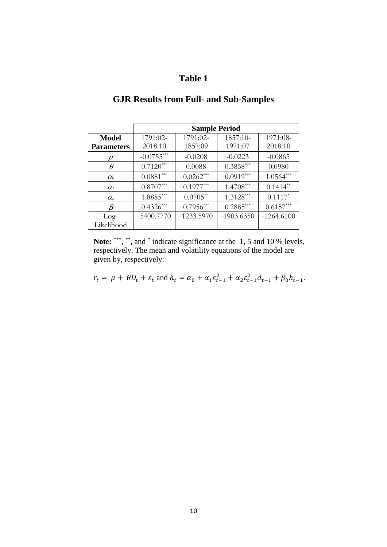### **Table 1**

|                   | <b>Sample Period</b> |              |              |                       |
|-------------------|----------------------|--------------|--------------|-----------------------|
| <b>Model</b>      | 1791:02-             | 1791:02-     | 1857:10-     | 1971:08-              |
| <b>Parameters</b> | 2018:10              | 1857:09      | 1971:07      | 2018:10               |
| $\mu$             | $-0.0755***$         | $-0.0208$    | $-0.0223$    | $-0.0865$             |
| $\theta$          | $0.7120***$          | 0.0088       | $0.3858***$  | 0.0980                |
| $\alpha$          | $0.0881***$          | $0.0262***$  | $0.0919***$  | $1.0564***$           |
| $\alpha_{1}$      | $0.8707***$          | $0.1977***$  | $1.4708***$  | $0.1414**$            |
| $\alpha_{2}$      | $1.8885***$          | $0.0705***$  | $1.3128***$  | $0.1117$ <sup>*</sup> |
|                   | $0.4326***$          | $0.7956***$  | $0.2885***$  | $0.6157***$           |
| $Log-$            | $-5400.7770$         | $-1233.5970$ | $-1903.6350$ | $-1264.6100$          |
| Likelihood        |                      |              |              |                       |

# **GJR Results from Full- and Sub-Samples**

Note: \*\*\*, \*\*, and \* indicate significance at the 1, 5 and 10 % levels, respectively. The mean and volatility equations of the model are given by, respectively:

$$
r_t = \mu + \theta D_t + \varepsilon_t
$$
 and  $h_t = \alpha_0 + \alpha_1 \varepsilon_{t-1}^2 + \alpha_2 \varepsilon_{t-1}^2 d_{t-1} + \beta_0 h_{t-1}$ .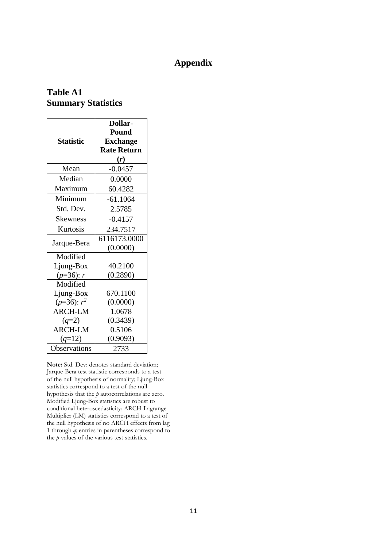# **Appendix**

#### **Table A1 Summary Statistics**

| <b>Statistic</b> | Dollar-<br><b>Pound</b><br><b>Exchange</b><br><b>Rate Return</b><br>(r) |  |  |
|------------------|-------------------------------------------------------------------------|--|--|
| Mean             | $-0.0457$                                                               |  |  |
| Median           | 0.0000                                                                  |  |  |
| Maximum          | 60.4282                                                                 |  |  |
| Minimum          | $-61.1064$                                                              |  |  |
| Std. Dev.        | 2.5785                                                                  |  |  |
| <b>Skewness</b>  | $-0.4157$                                                               |  |  |
| Kurtosis         | 234.7517                                                                |  |  |
| Jarque-Bera      | 6116173.0000<br>(0.0000)                                                |  |  |
| Modified         |                                                                         |  |  |
| Ljung-Box        | 40.2100                                                                 |  |  |
| $(p=36): r$      | (0.2890)                                                                |  |  |
| Modified         |                                                                         |  |  |
| Ljung-Box        | 670.1100                                                                |  |  |
| $(p=36)$ : $r^2$ | (0.0000)                                                                |  |  |
| <b>ARCH-LM</b>   | 1.0678                                                                  |  |  |
| $(q=2)$          | (0.3439)                                                                |  |  |
| <b>ARCH-LM</b>   | 0.5106                                                                  |  |  |
| $(q=12)$         | (0.9093)                                                                |  |  |
| Observations     | 2733                                                                    |  |  |

**Note:** Std. Dev: denotes standard deviation; Jarque-Bera test statistic corresponds to a test of the null hypothesis of normality; Ljung-Box statistics correspond to a test of the null hypothesis that the *p* autocorrelations are zero. Modified Ljung-Box statistics are robust to conditional heteroscedasticity; ARCH-Lagrange Multiplier (LM) statistics correspond to a test of the null hypothesis of no ARCH effects from lag 1 through *q*; entries in parentheses correspond to the *p*-values of the various test statistics.